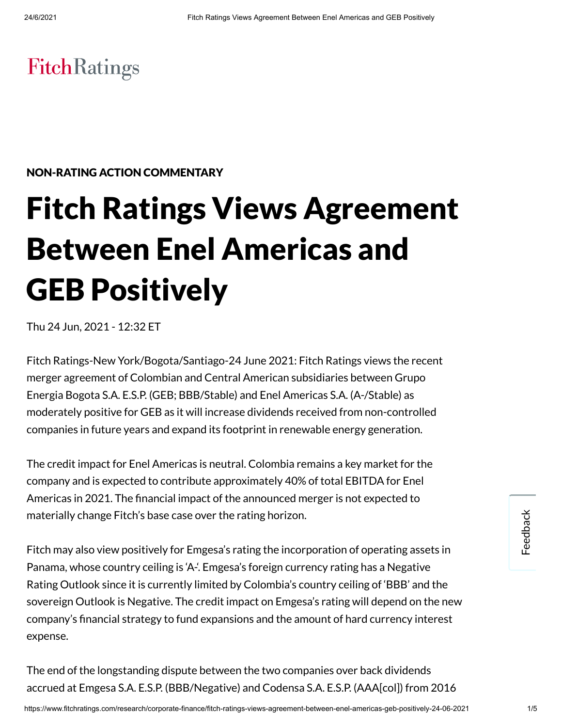## **FitchRatings**

## NON-RATING ACTION COMMENTARY

## Fitch Ratings Views Agreement Between Enel Americas and GEB Positively

Thu 24 Jun, 2021 - 12:32 ET

Fitch Ratings-New York/Bogota/Santiago-24 June 2021: Fitch Ratings views the recent merger agreement of Colombian and Central American subsidiaries between Grupo Energia Bogota S.A. E.S.P. (GEB; BBB/Stable) and Enel Americas S.A. (A-/Stable) as moderately positive for GEB as it will increase dividends received from non-controlled companies in future years and expand its footprint in renewable energy generation.

The credit impact for Enel Americas is neutral. Colombia remains a key market for the company and is expected to contribute approximately 40% of total EBITDA for Enel Americas in 2021. The financial impact of the announced merger is not expected to materially change Fitch's base case over the rating horizon.

Fitch may also view positively for Emgesa's rating the incorporation of operating assets in Panama, whose country ceiling is 'A-'. Emgesa's foreign currency rating has a Negative Rating Outlook since it is currently limited by Colombia's country ceiling of 'BBB' and the sovereign Outlook is Negative. The credit impact on Emgesa's rating will depend on the new company's financial strategy to fund expansions and the amount of hard currency interest expense.

The end of the longstanding dispute between the two companies over back dividends accrued at Emgesa S.A. E.S.P. (BBB/Negative) and Codensa S.A. E.S.P. (AAA[col]) from 2016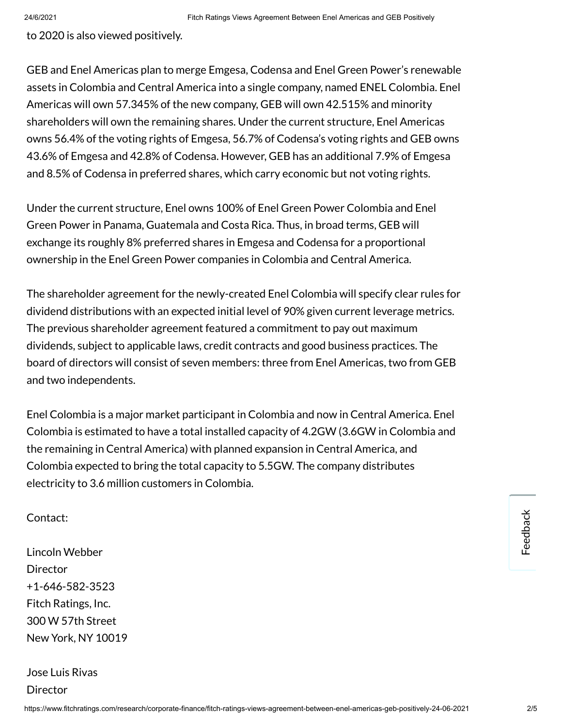to 2020 is also viewed positively.

GEB and Enel Americas plan to merge Emgesa, Codensa and Enel Green Power's renewable assets in Colombia and Central America into a single company, named ENEL Colombia. Enel Americas will own 57.345% of the new company, GEB will own 42.515% and minority shareholders will own the remaining shares. Under the current structure, Enel Americas owns 56.4% of the voting rights of Emgesa, 56.7% of Codensa's voting rights and GEB owns 43.6% of Emgesa and 42.8% of Codensa. However, GEB has an additional 7.9% of Emgesa and 8.5% of Codensa in preferred shares, which carry economic but not voting rights.

Under the current structure, Enel owns 100% of Enel Green Power Colombia and Enel Green Power in Panama, Guatemala and Costa Rica. Thus, in broad terms, GEB will exchange its roughly 8% preferred shares in Emgesa and Codensa for a proportional ownership in the Enel Green Power companies in Colombia and Central America.

The shareholder agreement for the newly-created Enel Colombia will specify clear rules for dividend distributions with an expected initial level of 90% given current leverage metrics. The previous shareholder agreement featured a commitment to pay out maximum dividends, subject to applicable laws, credit contracts and good business practices. The board of directors will consist of seven members: three from Enel Americas, two from GEB and two independents.

Enel Colombia is a major market participant in Colombia and now in Central America. Enel Colombia is estimated to have a total installed capacity of 4.2GW (3.6GW in Colombia and the remaining in Central America) with planned expansion in Central America, and Colombia expected to bring the total capacity to 5.5GW. The company distributes electricity to 3.6 million customers in Colombia.

Contact:

Lincoln Webber **Director** +1-646-582-3523 Fitch Ratings, Inc. 300 W 57th Street New York, NY 10019

Jose Luis Rivas **Director**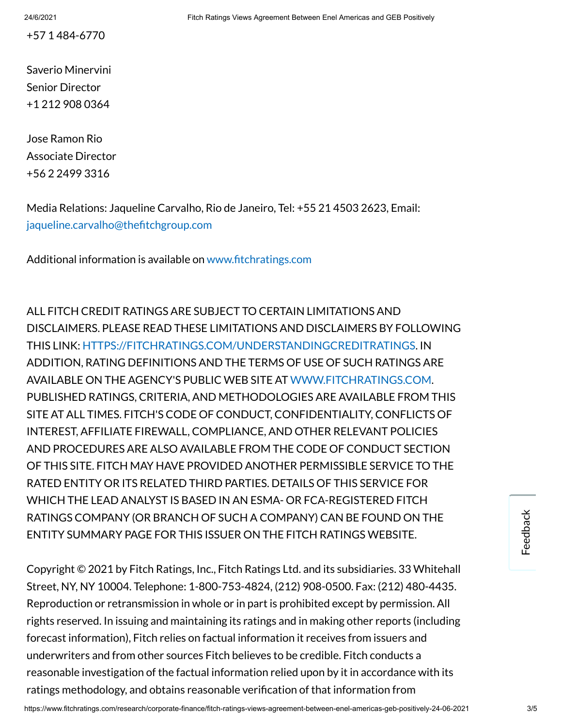+57 1 484-6770

Saverio Minervini Senior Director +1 212 908 0364

Jose Ramon Rio Associate Director +56 2 2499 3316

Media Relations: Jaqueline Carvalho, Rio de Janeiro, Tel: +55 21 4503 2623, Email: [jaqueline.carvalho@thefitchgroup.com](mailto:jaqueline.carvalho@thefitchgroup.com)

Additional information is available on [www.fitchratings.com](http://www.fitchratings.com/)

ALL FITCH CREDIT RATINGS ARE SUBJECT TO CERTAIN LIMITATIONS AND DISCLAIMERS. PLEASE READ THESE LIMITATIONS AND DISCLAIMERS BY FOLLOWING THIS LINK: [HTTPS://FITCHRATINGS.COM/UNDERSTANDINGCREDITRATINGS.](https://fitchratings.com/UNDERSTANDINGCREDITRATINGS) IN ADDITION, RATING DEFINITIONS AND THE TERMS OF USE OF SUCH RATINGS ARE AVAILABLE ON THE AGENCY'S PUBLIC WEB SITE AT [WWW.FITCHRATINGS.COM](http://www.fitchratings.com/). PUBLISHED RATINGS, CRITERIA, AND METHODOLOGIES ARE AVAILABLE FROM THIS SITE AT ALL TIMES. FITCH'S CODE OF CONDUCT, CONFIDENTIALITY, CONFLICTS OF INTEREST, AFFILIATE FIREWALL, COMPLIANCE, AND OTHER RELEVANT POLICIES AND PROCEDURES ARE ALSO AVAILABLE FROM THE CODE OF CONDUCT SECTION OF THIS SITE. FITCH MAY HAVE PROVIDED ANOTHER PERMISSIBLE SERVICE TO THE RATED ENTITY OR ITS RELATED THIRD PARTIES. DETAILS OF THIS SERVICE FOR WHICH THE LEAD ANALYST IS BASED IN AN ESMA- OR FCA-REGISTERED FITCH RATINGS COMPANY (OR BRANCH OF SUCH A COMPANY) CAN BE FOUND ON THE ENTITY SUMMARY PAGE FOR THIS ISSUER ON THE FITCH RATINGS WEBSITE.

Copyright © 2021 by Fitch Ratings, Inc., Fitch Ratings Ltd. and its subsidiaries. 33 Whitehall Street, NY, NY 10004. Telephone: 1-800-753-4824, (212) 908-0500. Fax: (212) 480-4435. Reproduction or retransmission in whole or in part is prohibited except by permission. All rights reserved. In issuing and maintaining its ratings and in making other reports (including forecast information), Fitch relies on factual information it receives from issuers and underwriters and from other sources Fitch believes to be credible. Fitch conducts a reasonable investigation of the factual information relied upon by it in accordance with its ratings methodology, and obtains reasonable verification of that information from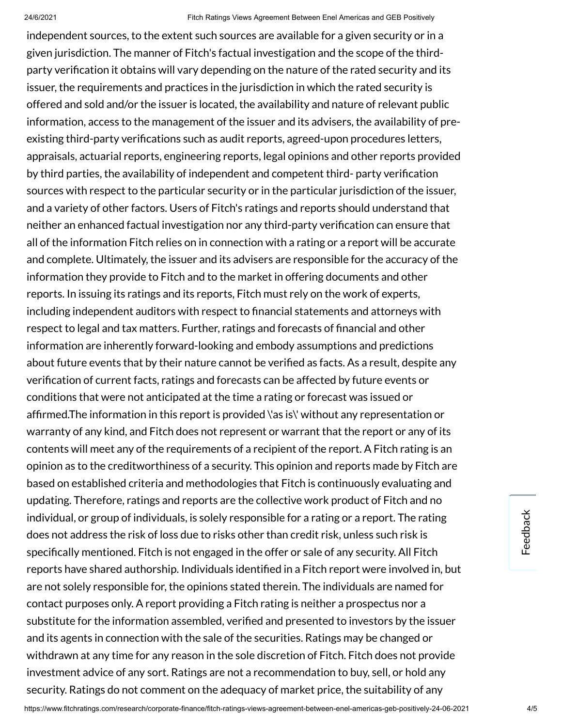independent sources, to the extent such sources are available for a given security or in a given jurisdiction. The manner of Fitch's factual investigation and the scope of the thirdparty verification it obtains will vary depending on the nature of the rated security and its issuer, the requirements and practices in the jurisdiction in which the rated security is offered and sold and/or the issuer is located, the availability and nature of relevant public information, access to the management of the issuer and its advisers, the availability of preexisting third-party verifications such as audit reports, agreed-upon procedures letters, appraisals, actuarial reports, engineering reports, legal opinions and other reports provided by third parties, the availability of independent and competent third- party verification sources with respect to the particular security or in the particular jurisdiction of the issuer, and a variety of other factors. Users of Fitch's ratings and reports should understand that neither an enhanced factual investigation nor any third-party verification can ensure that all of the information Fitch relies on in connection with a rating or a report will be accurate and complete. Ultimately, the issuer and its advisers are responsible for the accuracy of the information they provide to Fitch and to the market in offering documents and other reports. In issuing its ratings and its reports, Fitch must rely on the work of experts, including independent auditors with respect to financial statements and attorneys with respect to legal and tax matters. Further, ratings and forecasts of financial and other information are inherently forward-looking and embody assumptions and predictions about future events that by their nature cannot be verified as facts. As a result, despite any verification of current facts, ratings and forecasts can be affected by future events or conditions that were not anticipated at the time a rating or forecast was issued or affirmed.The information in this report is provided \'as is\' without any representation or warranty of any kind, and Fitch does not represent or warrant that the report or any of its contents will meet any of the requirements of a recipient of the report. A Fitch rating is an opinion as to the creditworthiness of a security. This opinion and reports made by Fitch are based on established criteria and methodologies that Fitch is continuously evaluating and updating. Therefore, ratings and reports are the collective work product of Fitch and no individual, or group of individuals, is solely responsible for a rating or a report. The rating does not address the risk of loss due to risks other than credit risk, unless such risk is specifically mentioned. Fitch is not engaged in the offer or sale of any security. All Fitch reports have shared authorship. Individuals identified in a Fitch report were involved in, but are not solely responsible for, the opinions stated therein. The individuals are named for contact purposes only. A report providing a Fitch rating is neither a prospectus nor a substitute for the information assembled, verified and presented to investors by the issuer and its agents in connection with the sale of the securities. Ratings may be changed or withdrawn at any time for any reason in the sole discretion of Fitch. Fitch does not provide investment advice of any sort. Ratings are not a recommendation to buy, sell, or hold any security. Ratings do not comment on the adequacy of market price, the suitability of any